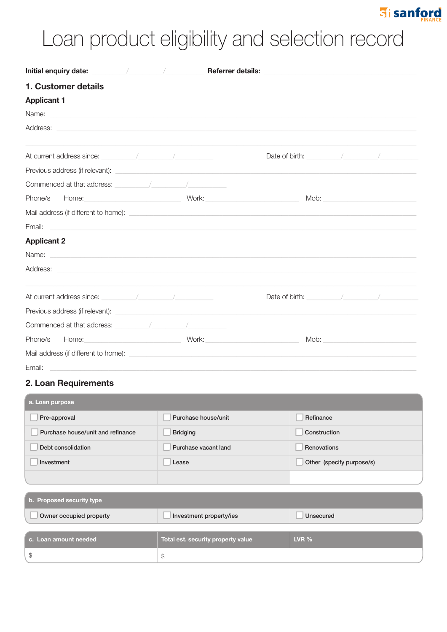### **Fi** sanford

# Loan product eligibility and selection record

| 1. Customer details                                                                                                                                                                                                                  |                                                                                                                                                                                                                                |
|--------------------------------------------------------------------------------------------------------------------------------------------------------------------------------------------------------------------------------------|--------------------------------------------------------------------------------------------------------------------------------------------------------------------------------------------------------------------------------|
| <b>Applicant 1</b>                                                                                                                                                                                                                   |                                                                                                                                                                                                                                |
| Name: <u>experimental</u>                                                                                                                                                                                                            |                                                                                                                                                                                                                                |
| Address: <u>example and a series of the series of the series of the series of the series of the series of the series of the series of the series of the series of the series of the series of the series of the series of the se</u> |                                                                                                                                                                                                                                |
| At current address since: the contract of the contract of the contract of the contract of the contract of the contract of the contract of the contract of the contract of the contract of the contract of the contract of the        | Date of birth: $\sqrt{2\pi}$                                                                                                                                                                                                   |
| Previous address (if relevant): example and the state of the state of the state of the state of the state of the state of the state of the state of the state of the state of the state of the state of the state of the state       |                                                                                                                                                                                                                                |
|                                                                                                                                                                                                                                      |                                                                                                                                                                                                                                |
| Phone/s Home: Work:                                                                                                                                                                                                                  | Mob: Note: Note: Note: Note: Note: Note: Note: Note: Note: Note: Note: Note: Note: Note: Note: Note: Note: Note: Note: Note: Note: Note: Note: Note: Note: Note: Note: Note: Note: Note: Note: Note: Note: Note: Note: Note: N |
|                                                                                                                                                                                                                                      |                                                                                                                                                                                                                                |
| Email:<br><u> 1989 - Johann Stein, mars and de Britannich (b. 1989)</u>                                                                                                                                                              |                                                                                                                                                                                                                                |
| <b>Applicant 2</b>                                                                                                                                                                                                                   |                                                                                                                                                                                                                                |
| Name: <u>example</u> and a series of the series of the series of the series of the series of the series of the series of the series of the series of the series of the series of the series of the series of the series of the seri  |                                                                                                                                                                                                                                |
| Address: <u>the contract of the contract of the contract of the contract of the contract of the contract of the contract of the contract of the contract of the contract of the contract of the contract of the contract of the </u> |                                                                                                                                                                                                                                |
|                                                                                                                                                                                                                                      | Date of birth: the contract of the contract of birth:                                                                                                                                                                          |
| Previous address (if relevant): example and the contract of the contract of the contract of the contract of the contract of the contract of the contract of the contract of the contract of the contract of the contract of th       |                                                                                                                                                                                                                                |
| Commenced at that address: the commenced at that address:                                                                                                                                                                            |                                                                                                                                                                                                                                |
| Phone/s                                                                                                                                                                                                                              | Mob: and the state of the state of the state of the state of the state of the state of the state of the state of the state of the state of the state of the state of the state of the state of the state of the state of the s |
| Mail address (if different to home): example and the state of the state of the state of the state of the state of the state of the state of the state of the state of the state of the state of the state of the state of the        |                                                                                                                                                                                                                                |
| Email:                                                                                                                                                                                                                               |                                                                                                                                                                                                                                |

#### 2. Loan Requirements

| a. Loan purpose                   |                         |                           |  |  |  |  |
|-----------------------------------|-------------------------|---------------------------|--|--|--|--|
| Pre-approval                      | Purchase house/unit     | Refinance                 |  |  |  |  |
| Purchase house/unit and refinance | <b>Bridging</b>         | Construction              |  |  |  |  |
| Debt consolidation                | Purchase vacant land    | Renovations               |  |  |  |  |
| Investment                        | Lease                   | Other (specify purpose/s) |  |  |  |  |
|                                   |                         |                           |  |  |  |  |
| b. Proposed security type         |                         |                           |  |  |  |  |
| Owner occupied property           | Investment property/ies | Unsecured                 |  |  |  |  |

| c. Loan amount needed | Total est. security property value | LVR $%$ |
|-----------------------|------------------------------------|---------|
|                       |                                    |         |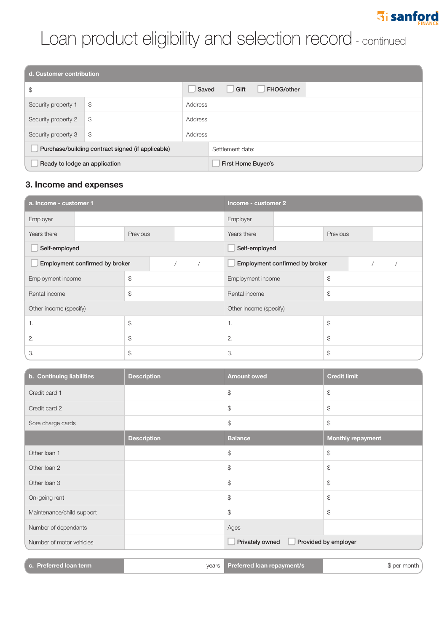## **Fi** sanford

## Loan product eligibility and selection record - continued

| d. Customer contribution                          |    |         |                           |  |  |
|---------------------------------------------------|----|---------|---------------------------|--|--|
| \$                                                |    | Saved   | Gift<br>FHOG/other        |  |  |
| Security property 1                               | \$ | Address |                           |  |  |
| Security property 2                               | \$ | Address |                           |  |  |
| Security property 3                               | \$ | Address |                           |  |  |
| Purchase/building contract signed (if applicable) |    |         | Settlement date:          |  |  |
| Ready to lodge an application                     |    |         | <b>First Home Buyer/s</b> |  |  |

#### **3. Income and expenses**

| a. Income - customer 1         |    | Income - customer 2            |               |                                |    |          |  |  |  |
|--------------------------------|----|--------------------------------|---------------|--------------------------------|----|----------|--|--|--|
| Employer                       |    |                                |               | Employer                       |    |          |  |  |  |
| Years there                    |    | Previous                       |               | Years there                    |    | Previous |  |  |  |
| Self-employed                  |    |                                | Self-employed |                                |    |          |  |  |  |
| Employment confirmed by broker |    | Employment confirmed by broker |               |                                |    |          |  |  |  |
| Employment income              |    | \$                             |               | Employment income              |    | \$       |  |  |  |
| Rental income                  |    | $\mathcal{S}$                  |               | $\mathcal{S}$<br>Rental income |    |          |  |  |  |
| Other income (specify)         |    | Other income (specify)         |               |                                |    |          |  |  |  |
| 1.                             |    | $\mathcal{L}$                  |               | \$<br>$\mathbf{1}$ .           |    |          |  |  |  |
| 2.                             |    | $\mathcal{L}$                  |               | 2.                             | \$ |          |  |  |  |
| 3.                             | \$ |                                | 3.            |                                | \$ |          |  |  |  |

| b. Continuing liabilities | <b>Description</b> | <b>Amount owed</b>                      | <b>Credit limit</b>      |  |
|---------------------------|--------------------|-----------------------------------------|--------------------------|--|
| Credit card 1             |                    | $\mathcal{S}$                           | \$                       |  |
| Credit card 2             |                    | $\mathcal{S}$                           | \$                       |  |
| Sore charge cards         |                    | $\mathcal{L}$                           | $$\mathbb{S}$$           |  |
|                           | <b>Description</b> | <b>Balance</b>                          | <b>Monthly repayment</b> |  |
| Other loan 1              |                    | $\frac{1}{2}$                           | $$\mathbb{S}$$           |  |
| Other Ioan 2              |                    | $\mathcal{S}$                           | \$                       |  |
| Other Ioan 3              |                    | $\mathcal{S}$                           | $$\mathbb{S}$$           |  |
| On-going rent             |                    | \$                                      | \$                       |  |
| Maintenance/child support |                    | $\frac{1}{2}$                           | \$                       |  |
| Number of dependants      |                    | Ages                                    |                          |  |
| Number of motor vehicles  |                    | Provided by employer<br>Privately owned |                          |  |
|                           |                    |                                         |                          |  |
| c. Preferred loan term    | vears              | Preferred loan repayment/s              | \$ per month )           |  |